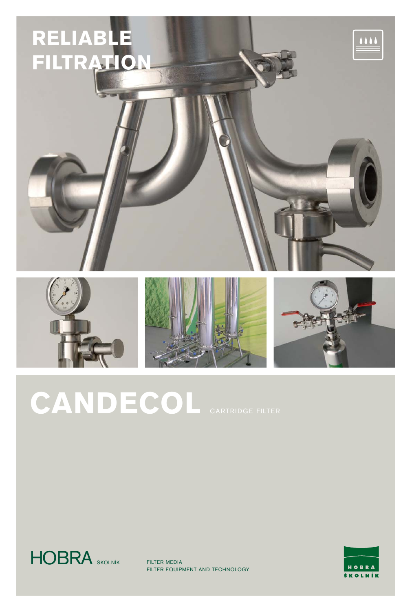







 $\frac{111}{11}$ 

# CANDECOL CARTRIDGE FILTER



FILTER MEDIA FILTER EQUIPMENT AND TECHNOLOGY